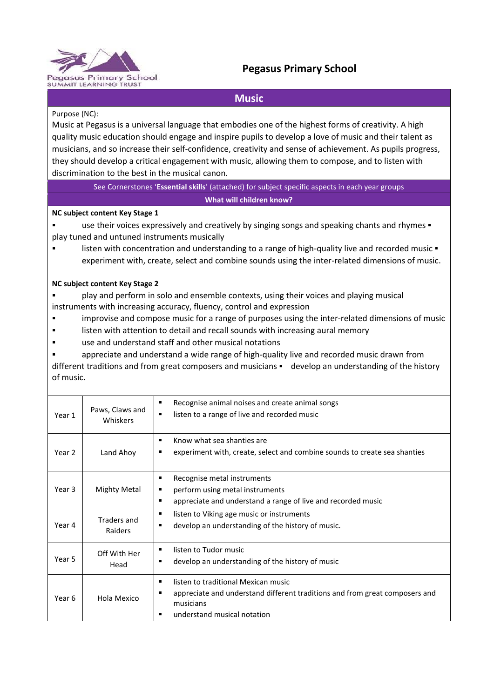

# **Pegasus Primary School**

## **Music**

#### Purpose (NC):

Music at Pegasus is a universal language that embodies one of the highest forms of creativity. A high quality music education should engage and inspire pupils to develop a love of music and their talent as musicians, and so increase their self-confidence, creativity and sense of achievement. As pupils progress, they should develop a critical engagement with music, allowing them to compose, and to listen with discrimination to the best in the musical canon.

See Cornerstones '**Essential skills**' (attached) for subject specific aspects in each year groups **What will children know?** 

#### **NC subject content Key Stage 1**

use their voices expressively and creatively by singing songs and speaking chants and rhymes  $\blacksquare$ play tuned and untuned instruments musically

**EXECT** listen with concentration and understanding to a range of high-quality live and recorded music  $\bullet$ experiment with, create, select and combine sounds using the inter-related dimensions of music.

#### **NC subject content Key Stage 2**

- play and perform in solo and ensemble contexts, using their voices and playing musical instruments with increasing accuracy, fluency, control and expression
- improvise and compose music for a range of purposes using the inter-related dimensions of music
- listen with attention to detail and recall sounds with increasing aural memory
- use and understand staff and other musical notations

 appreciate and understand a wide range of high-quality live and recorded music drawn from different traditions and from great composers and musicians  $\blacksquare$  develop an understanding of the history of music.

| Year 1 | Paws, Claws and<br>Whiskers                                                                                                                                                        | Recognise animal noises and create animal songs<br>$\blacksquare$<br>listen to a range of live and recorded music<br>٠              |  |  |
|--------|------------------------------------------------------------------------------------------------------------------------------------------------------------------------------------|-------------------------------------------------------------------------------------------------------------------------------------|--|--|
| Year 2 | Land Ahoy                                                                                                                                                                          | Know what sea shanties are<br>٠<br>experiment with, create, select and combine sounds to create sea shanties                        |  |  |
| Year 3 | <b>Mighty Metal</b>                                                                                                                                                                | Recognise metal instruments<br>п<br>perform using metal instruments<br>appreciate and understand a range of live and recorded music |  |  |
| Year 4 | Traders and<br>Raiders                                                                                                                                                             | listen to Viking age music or instruments<br>п<br>develop an understanding of the history of music.<br>п                            |  |  |
| Year 5 | Off With Her<br>Head                                                                                                                                                               | listen to Tudor music<br>develop an understanding of the history of music                                                           |  |  |
| Year 6 | listen to traditional Mexican music<br>٠<br>appreciate and understand different traditions and from great composers and<br>Hola Mexico<br>musicians<br>understand musical notation |                                                                                                                                     |  |  |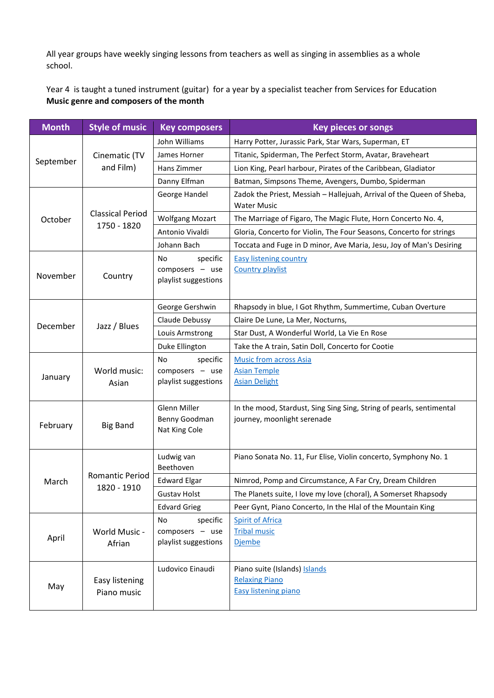All year groups have weekly singing lessons from teachers as well as singing in assemblies as a whole school.

Year 4 is taught a tuned instrument (guitar) for a year by a specialist teacher from Services for Education **Music genre and composers of the month** 

| <b>Month</b> | <b>Style of music</b>                  | <b>Key composers</b>                                      | <b>Key pieces or songs</b>                                                                          |
|--------------|----------------------------------------|-----------------------------------------------------------|-----------------------------------------------------------------------------------------------------|
|              | Cinematic (TV<br>and Film)             | John Williams                                             | Harry Potter, Jurassic Park, Star Wars, Superman, ET                                                |
| September    |                                        | James Horner                                              | Titanic, Spiderman, The Perfect Storm, Avatar, Braveheart                                           |
|              |                                        | Hans Zimmer                                               | Lion King, Pearl harbour, Pirates of the Caribbean, Gladiator                                       |
|              |                                        | Danny Elfman                                              | Batman, Simpsons Theme, Avengers, Dumbo, Spiderman                                                  |
|              | <b>Classical Period</b><br>1750 - 1820 | George Handel                                             | Zadok the Priest, Messiah - Hallejuah, Arrival of the Queen of Sheba,<br><b>Water Music</b>         |
| October      |                                        | <b>Wolfgang Mozart</b>                                    | The Marriage of Figaro, The Magic Flute, Horn Concerto No. 4,                                       |
|              |                                        | Antonio Vivaldi                                           | Gloria, Concerto for Violin, The Four Seasons, Concerto for strings                                 |
|              |                                        | Johann Bach                                               | Toccata and Fuge in D minor, Ave Maria, Jesu, Joy of Man's Desiring                                 |
| November     | Country                                | specific<br>No<br>composers - use<br>playlist suggestions | <b>Easy listening country</b><br><b>Country playlist</b>                                            |
|              | Jazz / Blues                           | George Gershwin                                           | Rhapsody in blue, I Got Rhythm, Summertime, Cuban Overture                                          |
| December     |                                        | Claude Debussy                                            | Claire De Lune, La Mer, Nocturns,                                                                   |
|              |                                        | Louis Armstrong                                           | Star Dust, A Wonderful World, La Vie En Rose                                                        |
|              |                                        | Duke Ellington                                            | Take the A train, Satin Doll, Concerto for Cootie                                                   |
| January      | World music:<br>Asian                  | No<br>specific<br>composers - use<br>playlist suggestions | <b>Music from across Asia</b><br><b>Asian Temple</b><br><b>Asian Delight</b>                        |
| February     | <b>Big Band</b>                        | Glenn Miller<br>Benny Goodman<br>Nat King Cole            | In the mood, Stardust, Sing Sing Sing, String of pearls, sentimental<br>journey, moonlight serenade |
|              | <b>Romantic Period</b><br>1820 - 1910  | Ludwig van<br>Beethoven                                   | Piano Sonata No. 11, Fur Elise, Violin concerto, Symphony No. 1                                     |
| March        |                                        | <b>Edward Elgar</b>                                       | Nimrod, Pomp and Circumstance, A Far Cry, Dream Children                                            |
|              |                                        | <b>Gustav Holst</b>                                       | The Planets suite, I love my love (choral), A Somerset Rhapsody                                     |
|              |                                        | <b>Edvard Grieg</b>                                       | Peer Gynt, Piano Concerto, In the Hlal of the Mountain King                                         |
| April        | World Music -<br>Afrian                | specific<br>No<br>composers - use<br>playlist suggestions | <b>Spirit of Africa</b><br><b>Tribal music</b><br><b>Djembe</b>                                     |
| May          | Easy listening<br>Piano music          | Ludovico Einaudi                                          | Piano suite (Islands) Islands<br><b>Relaxing Piano</b><br><b>Easy listening piano</b>               |